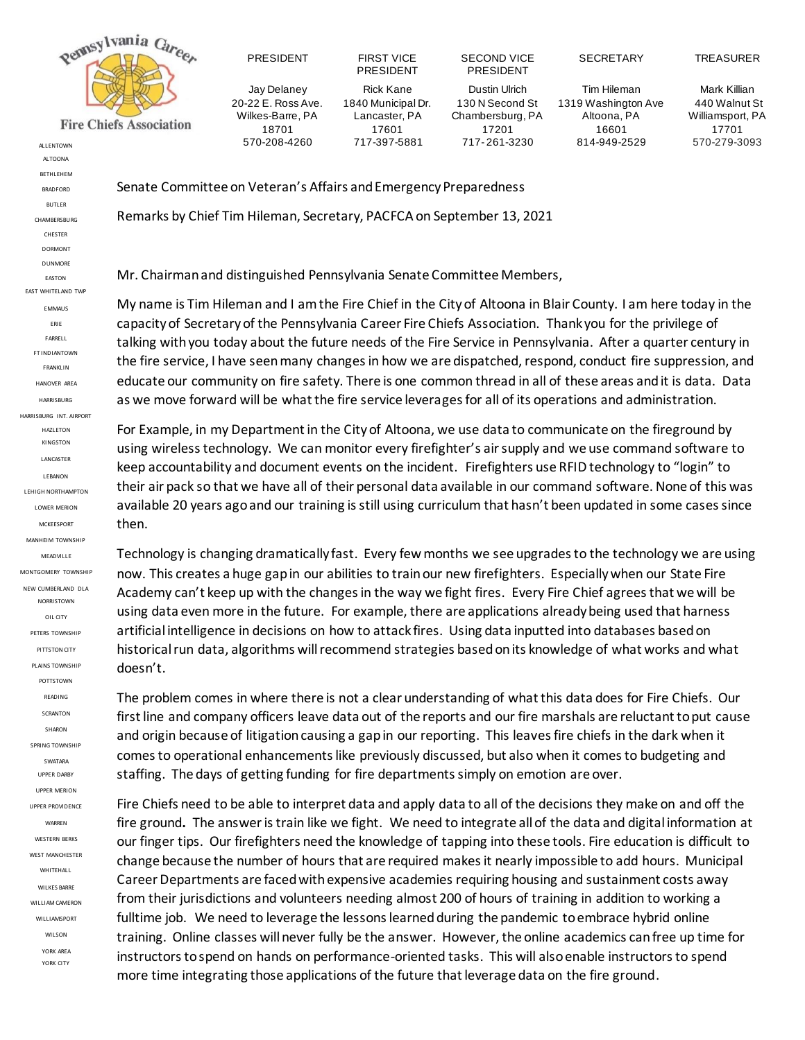

PRESIDENT FIRST VICE Jay Delaney 20-22 E. Ross Ave. Wilkes-Barre, PA 18701 570-208-4260

PRESIDENT Rick Kane 1840 Municipal Dr. Lancaster, PA 17601 717-397-5881

Dustin Ulrich 130 N Second St Chambersburg, PA 17201 717- 261-3230 ALLENTOWN 570-279-3093

SECOND VICE PRESIDENT

Tim Hileman 1319 Washington Ave Altoona, PA 16601 814-949-2529

Mark Killian 440 Walnut St Williamsport, PA 17701

SECRETARY TREASURER

Senate Committee on Veteran's Affairs and Emergency Preparedness

Remarks by Chief Tim Hileman, Secretary, PACFCA on September 13, 2021

Mr. Chairman and distinguished Pennsylvania Senate Committee Members,

My name is Tim Hileman and I am the Fire Chief in the City of Altoona in Blair County. I am here today in the capacity of Secretary of the Pennsylvania Career Fire Chiefs Association. Thank you for the privilege of talking with you today about the future needs of the Fire Service in Pennsylvania. After a quarter century in the fire service, I have seen many changes in how we are dispatched, respond, conduct fire suppression, and educate our community on fire safety. There is one common thread in all of these areas and it is data. Data as we move forward will be what the fire service leverages for all of its operations and administration.

For Example, in my Department in the City of Altoona, we use data to communicate on the fireground by using wireless technology. We can monitor every firefighter's air supply and we use command software to keep accountability and document events on the incident. Firefighters use RFID technology to "login" to their air pack so that we have all of their personal data available in our command software. None of this was available 20 years ago and our training is still using curriculum that hasn't been updated in some cases since then.

Technology is changing dramatically fast. Every few months we see upgrades to the technology we are using now. This creates a huge gap in our abilities to train our new firefighters. Especially when our State Fire Academy can't keep up with the changes in the way we fight fires. Every Fire Chief agrees that we will be using data even more in the future. For example, there are applications already being used that harness artificial intelligence in decisions on how to attack fires. Using data inputted into databases based on historical run data, algorithms will recommend strategies based on its knowledge of what works and what doesn't.

The problem comes in where there is not a clear understanding of what this data does for Fire Chiefs. Our first line and company officers leave data out of the reports and our fire marshals are reluctant to put cause and origin because of litigation causing a gap in our reporting. This leaves fire chiefs in the dark when it comesto operational enhancements like previously discussed, but also when it comes to budgeting and staffing. The days of getting funding for fire departments simply on emotion are over.

Fire Chiefs need to be able to interpret data and apply data to all of the decisions they make on and off the fire ground**.** The answer is train like we fight. We need to integrate all of the data and digital information at our finger tips. Our firefighters need the knowledge of tapping into these tools. Fire education is difficult to change because the number of hours that are required makes it nearly impossible to add hours. Municipal Career Departments are faced with expensive academies requiring housing and sustainment costs away from their jurisdictions and volunteers needing almost 200 of hours of training in addition to working a fulltime job. We need to leverage the lessons learned during the pandemic to embrace hybrid online training. Online classes will never fully be the answer. However, the online academics can free up time for instructors to spend on hands on performance-oriented tasks. This will also enable instructors to spend more time integrating those applications of the future that leverage data on the fire ground.

ALTOONA **BETHLEHEM** BRADFORD BUTLER **CHAMBERSBURG** CHESTER DORMONT DUNMORE EASTON EAST WHITELAND TWP EMMAUS ERIE FARRELL FT INDIANTOWN FRANKLIN HANOVER AREA **HARRISBURG** HARRISBURG INT. AIRPORT HAZLETON **KINGSTON** LANCASTER LEBANON LEHIGH NORTHAMPTON LOWER MERION MCKEESPORT MANHEIM TOWNSHIP MEADVILLE MONTGOMERY TOWNSHIP NEW CUMBERLAND DLA NORRISTOWN OIL CITY PETERS TOWNSHIP PITTSTON CITY PLAINS TOWNSHIP POTTSTOWN READING SCRANTON SHARON SPRING TOWNSHIP SWATARA UPPER DARBY UPPER MERION UPPER PROVIDENCE WARREN WESTERN BERKS WEST MANCHESTER WHITEHALL WILKES BARRE WILLIAM CAMERON WILLIAMSPORT WILSON

> YORK AREA YORK CITY